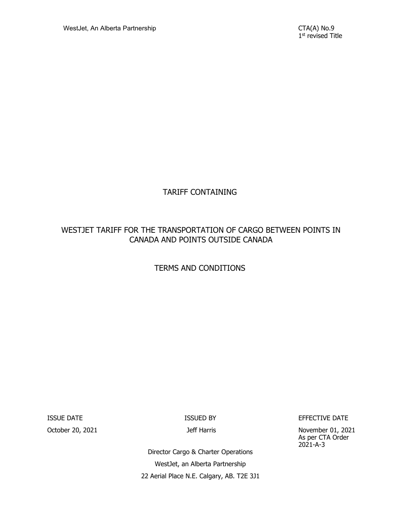# TARIFF CONTAINING

# WESTJET TARIFF FOR THE TRANSPORTATION OF CARGO BETWEEN POINTS IN CANADA AND POINTS OUTSIDE CANADA

# TERMS AND CONDITIONS

**ISSUE DATE ISSUED BY EFFECTIVE DATE** 

October 20, 2021 **Deff Harris** Jeff Harris November 01, 2021 As per CTA Order  $2021 - A - 3$ 

> Director Cargo & Charter Operations WestJet, an Alberta Partnership 22 Aerial Place N.E. Calgary, AB. T2E 3J1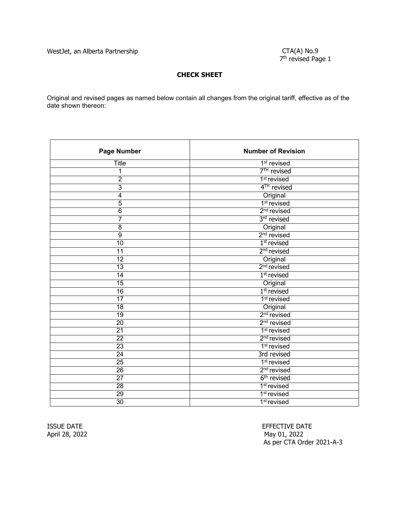#### **CHECK SHEET**

Original and revised pages as named below contain all changes from the original tariff, effective as of the date shown thereon:

| Page Number     | <b>Number of Revision</b> |
|-----------------|---------------------------|
| Title           | 1 <sup>st</sup> revised   |
| 1               | 7 <sup>TH</sup> revised   |
| $\overline{2}$  | 1 <sup>st</sup> revised   |
| $\overline{3}$  | 4 <sup>TH</sup> revised   |
| 4               | Original                  |
| $\overline{5}$  | 1 <sup>st</sup> revised   |
| $\overline{6}$  | $2nd$ revised             |
| 7               | 3rd revised               |
| $\overline{8}$  | Original                  |
| $\overline{9}$  | $2nd$ revised             |
| 10              | $1st$ revised             |
| 11              | $2nd$ revised             |
| $\overline{12}$ | Original                  |
| 13              | 2 <sup>nd</sup> revised   |
| $\overline{14}$ | $1st$ revised             |
| 15              | Original                  |
| $\overline{16}$ | 1 <sup>st</sup> revised   |
| 17              | 1 <sup>st</sup> revised   |
| $\overline{18}$ | Original                  |
| 19              | 2 <sup>nd</sup> revised   |
| 20              | 2 <sup>nd</sup> revised   |
| $\overline{21}$ | 1 <sup>st</sup> revised   |
| $\overline{22}$ | 2 <sup>nd</sup> revised   |
| 23              | $1st$ revised             |
| $\overline{24}$ | 3rd revised               |
| $\overline{25}$ | 1 <sup>st</sup> revised   |
| $\overline{26}$ | 2 <sup>nd</sup> revised   |
| $\overline{27}$ | $6th$ revised             |
| 28              | 1 <sup>st</sup> revised   |
| 29              | 1 <sup>st</sup> revised   |
| $\overline{30}$ | 1 <sup>st</sup> revised   |

ISSUE DATE April 28, 2022 EFFECTIVE DATE May 01, 2022 As per CTA Order 2021-A-3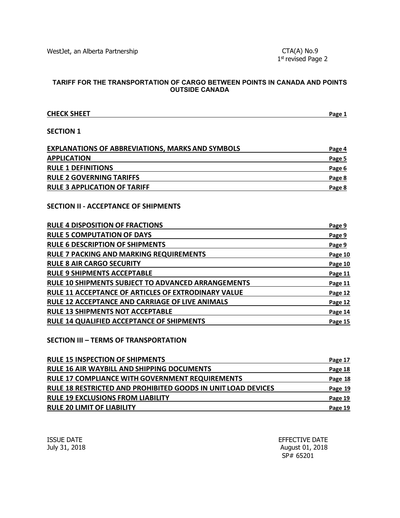#### **TARIFF FOR THE TRANSPORTATION OF CARGO BETWEEN POINTS IN CANADA AND POINTS OUTSIDE CANADA**

**CHECK SHEET Page 1**

#### **SECTION 1**

| <b>EXPLANATIONS OF ABBREVIATIONS, MARKS AND SYMBOLS</b> | Page 4 |
|---------------------------------------------------------|--------|
| <b>APPLICATION</b>                                      | Page 5 |
| <b>RULE 1 DEFINITIONS</b>                               | Page 6 |
| <b>RULE 2 GOVERNING TARIFFS</b>                         | Page 8 |
| <b>RULE 3 APPLICATION OF TARIFF</b>                     | Page 8 |

### **SECTION II - ACCEPTANCE OF SHIPMENTS**

| <b>RULE 4 DISPOSITION OF FRACTIONS</b>                     | Page 9         |
|------------------------------------------------------------|----------------|
| <b>RULE 5 COMPUTATION OF DAYS</b>                          | Page 9         |
| <b>RULE 6 DESCRIPTION OF SHIPMENTS</b>                     | Page 9         |
| <b>RULE 7 PACKING AND MARKING REQUIREMENTS</b>             | Page 10        |
| <b>RULE 8 AIR CARGO SECURITY</b>                           | Page 10        |
| <b>RULE 9 SHIPMENTS ACCEPTABLE</b>                         | Page 11        |
| <b>RULE 10 SHIPMENTS SUBJECT TO ADVANCED ARRANGEMENTS</b>  | Page 11        |
| <b>RULE 11 ACCEPTANCE OF ARTICLES OF EXTRODINARY VALUE</b> | Page 12        |
| <b>RULE 12 ACCEPTANCE AND CARRIAGE OF LIVE ANIMALS</b>     | Page 12        |
| <b>RULE 13 SHIPMENTS NOT ACCEPTABLE</b>                    | Page 14        |
| <b>RULE 14 QUALIFIED ACCEPTANCE OF SHIPMENTS</b>           | <b>Page 15</b> |

**SECTION III – TERMS OF TRANSPORTATION**

| <b>RULE 15 INSPECTION OF SHIPMENTS</b>                              | Page 17 |
|---------------------------------------------------------------------|---------|
| RULE 16 AIR WAYBILL AND SHIPPING DOCUMENTS                          | Page 18 |
| <b>RULE 17 COMPLIANCE WITH GOVERNMENT REQUIREMENTS</b>              | Page 18 |
| <b>RULE 18 RESTRICTED AND PROHIBITED GOODS IN UNIT LOAD DEVICES</b> | Page 19 |
| <b>RULE 19 EXCLUSIONS FROM LIABILITY</b>                            | Page 19 |
| <b>RULE 20 LIMIT OF LIABILITY</b>                                   | Page 19 |

ISSUE DATE<br>
July 31, 2018<br>  $\frac{1}{100}$  2018<br>  $\frac{1}{100}$  2018<br>
August 01, 2018 August 01, 2018 SP# 65201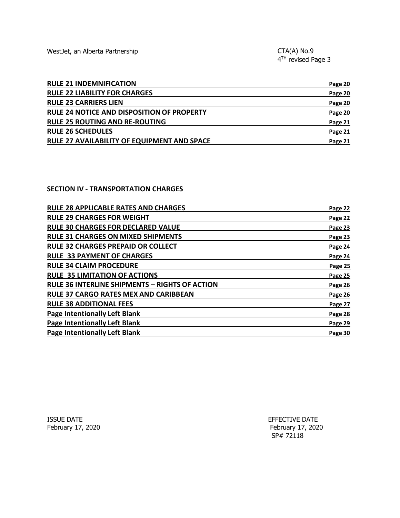| <b>RULE 21 INDEMNIFICATION</b>                     | Page 20 |
|----------------------------------------------------|---------|
| <b>RULE 22 LIABILITY FOR CHARGES</b>               | Page 20 |
| <b>RULE 23 CARRIERS LIEN</b>                       | Page 20 |
| <b>RULE 24 NOTICE AND DISPOSITION OF PROPERTY</b>  | Page 20 |
| <b>RULE 25 ROUTING AND RE-ROUTING</b>              | Page 21 |
| <b>RULE 26 SCHEDULES</b>                           | Page 21 |
| <b>RULE 27 AVAILABILITY OF EQUIPMENT AND SPACE</b> | Page 21 |

## **SECTION IV - TRANSPORTATION CHARGES**

| <b>RULE 28 APPLICABLE RATES AND CHARGES</b>           | Page 22        |
|-------------------------------------------------------|----------------|
| <b>RULE 29 CHARGES FOR WEIGHT</b>                     | Page 22        |
| <b>RULE 30 CHARGES FOR DECLARED VALUE</b>             | Page 23        |
| <b>RULE 31 CHARGES ON MIXED SHIPMENTS</b>             | Page 23        |
| <b>RULE 32 CHARGES PREPAID OR COLLECT</b>             | <b>Page 24</b> |
| <b>RULE 33 PAYMENT OF CHARGES</b>                     | Page 24        |
| <b>RULE 34 CLAIM PROCEDURE</b>                        | Page 25        |
| <b>RULE 35 LIMITATION OF ACTIONS</b>                  | Page 25        |
| <b>RULE 36 INTERLINE SHIPMENTS - RIGHTS OF ACTION</b> | Page 26        |
| <b>RULE 37 CARGO RATES MEX AND CARIBBEAN</b>          | Page 26        |
| <b>RULE 38 ADDITIONAL FEES</b>                        | Page 27        |
| <b>Page Intentionally Left Blank</b>                  | Page 28        |
| <b>Page Intentionally Left Blank</b>                  | Page 29        |
| <b>Page Intentionally Left Blank</b>                  | Page 30        |
|                                                       |                |

ISSUE DATE February 17, 2020 EFFECTIVE DATE February 17, 2020 SP# 72118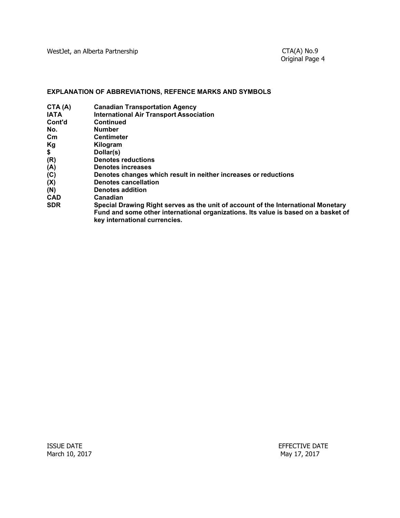#### **EXPLANATION OF ABBREVIATIONS, REFENCE MARKS AND SYMBOLS**

- **CTA (A) Canadian Transportation Agency**
- **IATA International Air Transport Association**

| Cont'd                    | <b>Continued</b>                                                                                                                                                                                         |
|---------------------------|----------------------------------------------------------------------------------------------------------------------------------------------------------------------------------------------------------|
| No.                       | <b>Number</b>                                                                                                                                                                                            |
| $\mathsf{c}_{\mathsf{m}}$ | <b>Centimeter</b>                                                                                                                                                                                        |
| Kg                        | Kilogram                                                                                                                                                                                                 |
| \$                        | Dollar(s)                                                                                                                                                                                                |
| (R)                       | <b>Denotes reductions</b>                                                                                                                                                                                |
| (A)                       | <b>Denotes increases</b>                                                                                                                                                                                 |
| (C)                       | Denotes changes which result in neither increases or reductions                                                                                                                                          |
| (X)                       | <b>Denotes cancellation</b>                                                                                                                                                                              |
| (N)                       | <b>Denotes addition</b>                                                                                                                                                                                  |
| <b>CAD</b>                | Canadian                                                                                                                                                                                                 |
| <b>SDR</b>                | Special Drawing Right serves as the unit of account of the International Monetary<br>Fund and some other international organizations. Its value is based on a basket of<br>key international currencies. |

March 10, 2017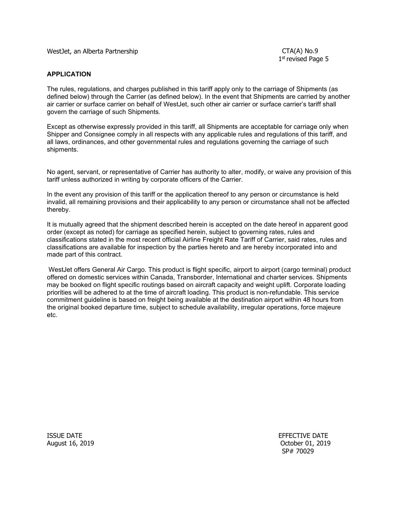1st revised Page 5

#### **APPLICATION**

The rules, regulations, and charges published in this tariff apply only to the carriage of Shipments (as defined below) through the Carrier (as defined below). In the event that Shipments are carried by another air carrier or surface carrier on behalf of WestJet, such other air carrier or surface carrier's tariff shall govern the carriage of such Shipments.

Except as otherwise expressly provided in this tariff, all Shipments are acceptable for carriage only when Shipper and Consignee comply in all respects with any applicable rules and regulations of this tariff, and all laws, ordinances, and other governmental rules and regulations governing the carriage of such shipments.

No agent, servant, or representative of Carrier has authority to alter, modify, or waive any provision of this tariff unless authorized in writing by corporate officers of the Carrier.

In the event any provision of this tariff or the application thereof to any person or circumstance is held invalid, all remaining provisions and their applicability to any person or circumstance shall not be affected thereby.

It is mutually agreed that the shipment described herein is accepted on the date hereof in apparent good order (except as noted) for carriage as specified herein, subject to governing rates, rules and classifications stated in the most recent official Airline Freight Rate Tariff of Carrier, said rates, rules and classifications are available for inspection by the parties hereto and are hereby incorporated into and made part of this contract.

WestJet offers General Air Cargo. This product is flight specific, airport to airport (cargo terminal) product offered on domestic services within Canada, Transborder, International and charter services. Shipments may be booked on flight specific routings based on aircraft capacity and weight uplift. Corporate loading priorities will be adhered to at the time of aircraft loading. This product is non-refundable. This service commitment guideline is based on freight being available at the destination airport within 48 hours from the original booked departure time, subject to schedule availability, irregular operations, force majeure etc.

ISSUE DATE EFFECTIVE DATE

October 01, 2019 SP# 70029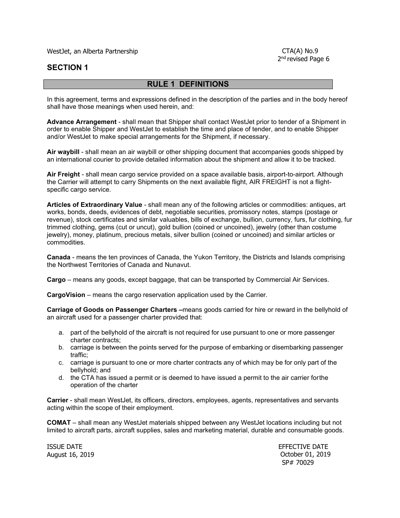# 2<sup>nd</sup> revised Page 6

## **SECTION 1**

## **RULE 1 DEFINITIONS**

In this agreement, terms and expressions defined in the description of the parties and in the body hereof shall have those meanings when used herein, and:

**Advance Arrangement** - shall mean that Shipper shall contact WestJet prior to tender of a Shipment in order to enable Shipper and WestJet to establish the time and place of tender, and to enable Shipper and/or WestJet to make special arrangements for the Shipment, if necessary.

**Air waybill** - shall mean an air waybill or other shipping document that accompanies goods shipped by an international courier to provide detailed information about the shipment and allow it to be tracked.

**Air Freight** - shall mean cargo service provided on a space available basis, airport-to-airport. Although the Carrier will attempt to carry Shipments on the next available flight, AIR FREIGHT is not a flightspecific cargo service.

**Articles of Extraordinary Value** - shall mean any of the following articles or commodities: antiques, art works, bonds, deeds, evidences of debt, negotiable securities, promissory notes, stamps (postage or revenue), stock certificates and similar valuables, bills of exchange, bullion, currency, furs, fur clothing, fur trimmed clothing, gems (cut or uncut), gold bullion (coined or uncoined), jewelry (other than costume jewelry), money, platinum, precious metals, silver bullion (coined or uncoined) and similar articles or commodities.

**Canada** - means the ten provinces of Canada, the Yukon Territory, the Districts and Islands comprising the Northwest Territories of Canada and Nunavut.

**Cargo** – means any goods, except baggage, that can be transported by Commercial Air Services.

**CargoVision** – means the cargo reservation application used by the Carrier.

**Carriage of Goods on Passenger Charters –**means goods carried for hire or reward in the bellyhold of an aircraft used for a passenger charter provided that:

- a. part of the bellyhold of the aircraft is not required for use pursuant to one or more passenger charter contracts;
- b. carriage is between the points served for the purpose of embarking or disembarking passenger traffic;
- c. carriage is pursuant to one or more charter contracts any of which may be for only part of the bellyhold; and
- d. the CTA has issued a permit or is deemed to have issued a permit to the air carrier forthe operation of the charter

**Carrier** - shall mean WestJet, its officers, directors, employees, agents, representatives and servants acting within the scope of their employment.

**COMAT** – shall mean any WestJet materials shipped between any WestJet locations including but not limited to aircraft parts, aircraft supplies, sales and marketing material, durable and consumable goods.

ISSUE DATE August 16, 2019 EFFECTIVE DATE October 01, 2019 SP# 70029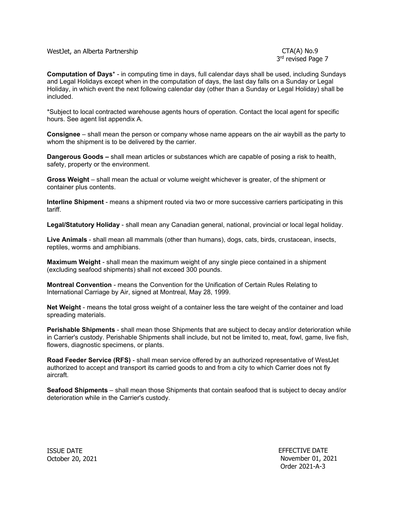3rd revised Page 7

**Computation of Days**\* - in computing time in days, full calendar days shall be used, including Sundays and Legal Holidays except when in the computation of days, the last day falls on a Sunday or Legal Holiday, in which event the next following calendar day (other than a Sunday or Legal Holiday) shall be included.

\*Subject to local contracted warehouse agents hours of operation. Contact the local agent for specific hours. See agent list appendix A.

**Consignee** – shall mean the person or company whose name appears on the air waybill as the party to whom the shipment is to be delivered by the carrier.

**Dangerous Goods –** shall mean articles or substances which are capable of posing a risk to health, safety, property or the environment.

**Gross Weight** – shall mean the actual or volume weight whichever is greater, of the shipment or container plus contents.

**Interline Shipment** - means a shipment routed via two or more successive carriers participating in this tariff.

**Legal/Statutory Holiday** - shall mean any Canadian general, national, provincial or local legal holiday.

**Live Animals** - shall mean all mammals (other than humans), dogs, cats, birds, crustacean, insects, reptiles, worms and amphibians.

**Maximum Weight** - shall mean the maximum weight of any single piece contained in a shipment (excluding seafood shipments) shall not exceed 300 pounds.

**Montreal Convention** - means the Convention for the Unification of Certain Rules Relating to International Carriage by Air, signed at Montreal, May 28, 1999.

**Net Weight** - means the total gross weight of a container less the tare weight of the container and load spreading materials.

**Perishable Shipments** - shall mean those Shipments that are subject to decay and/or deterioration while in Carrier's custody. Perishable Shipments shall include, but not be limited to, meat, fowl, game, live fish, flowers, diagnostic specimens, or plants.

**Road Feeder Service (RFS)** - shall mean service offered by an authorized representative of WestJet authorized to accept and transport its carried goods to and from a city to which Carrier does not fly aircraft.

**Seafood Shipments** – shall mean those Shipments that contain seafood that is subject to decay and/or deterioration while in the Carrier's custody.

ISSUE DATE October 20, 2021 EFFECTIVE DATE November 01, 2021 Order 2021-A-3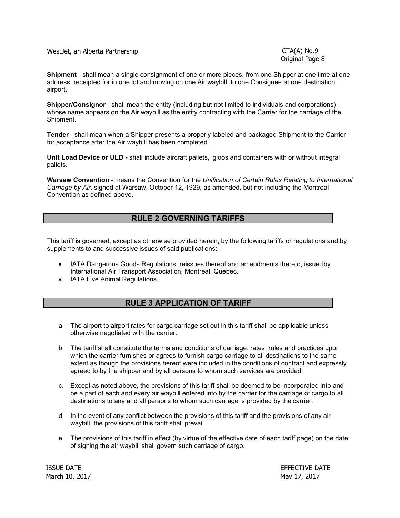# Original Page 8

**Shipment** - shall mean a single consignment of one or more pieces, from one Shipper at one time at one address, receipted for in one lot and moving on one Air waybill, to one Consignee at one destination airport.

**Shipper/Consignor** - shall mean the entity (including but not limited to individuals and corporations) whose name appears on the Air waybill as the entity contracting with the Carrier for the carriage of the Shipment.

**Tender** - shall mean when a Shipper presents a properly labeled and packaged Shipment to the Carrier for acceptance after the Air waybill has been completed.

**Unit Load Device or ULD -** shall include aircraft pallets, igloos and containers with or without integral pallets.

**Warsaw Convention** - means the Convention for the *Unification of Certain Rules Relating to International Carriage by Air*, signed at Warsaw, October 12, 1929, as amended, but not including the Montreal Convention as defined above.

## **RULE 2 GOVERNING TARIFFS**

This tariff is governed, except as otherwise provided herein, by the following tariffs or regulations and by supplements to and successive issues of said publications:

- IATA Dangerous Goods Regulations, reissues thereof and amendments thereto, issuedby International Air Transport Association, Montreal, Quebec.
- IATA Live Animal Regulations.

#### **RULE 3 APPLICATION OF TARIFF**

- a. The airport to airport rates for cargo carriage set out in this tariff shall be applicable unless otherwise negotiated with the carrier.
- b. The tariff shall constitute the terms and conditions of carriage, rates, rules and practices upon which the carrier furnishes or agrees to furnish cargo carriage to all destinations to the same extent as though the provisions hereof were included in the conditions of contract and expressly agreed to by the shipper and by all persons to whom such services are provided.
- c. Except as noted above, the provisions of this tariff shall be deemed to be incorporated into and be a part of each and every air waybill entered into by the carrier for the carriage of cargo to all destinations to any and all persons to whom such carriage is provided by the carrier.
- d. In the event of any conflict between the provisions of this tariff and the provisions of any air waybill, the provisions of this tariff shall prevail.
- e. The provisions of this tariff in effect (by virtue of the effective date of each tariff page) on the date of signing the air waybill shall govern such carriage of cargo.

ISSUE DATE March 10, 2017 EFFECTIVE DATE May 17, 2017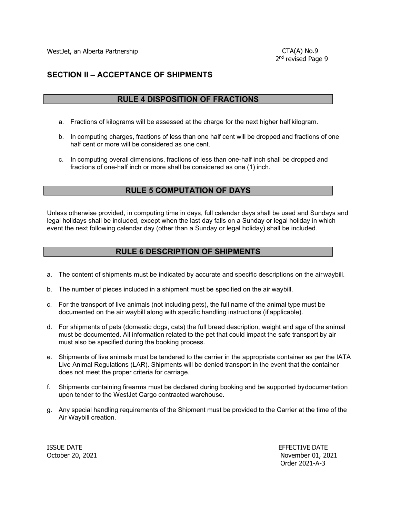# **SECTION II – ACCEPTANCE OF SHIPMENTS**

## **RULE 4 DISPOSITION OF FRACTIONS**

- a. Fractions of kilograms will be assessed at the charge for the next higher half kilogram.
- b. In computing charges, fractions of less than one half cent will be dropped and fractions of one half cent or more will be considered as one cent.
- c. In computing overall dimensions, fractions of less than one-half inch shall be dropped and fractions of one-half inch or more shall be considered as one (1) inch.

### **RULE 5 COMPUTATION OF DAYS**

Unless otherwise provided, in computing time in days, full calendar days shall be used and Sundays and legal holidays shall be included, except when the last day falls on a Sunday or legal holiday in which event the next following calendar day (other than a Sunday or legal holiday) shall be included.

### **RULE 6 DESCRIPTION OF SHIPMENTS**

- a. The content of shipments must be indicated by accurate and specific descriptions on the airwaybill.
- b. The number of pieces included in a shipment must be specified on the air waybill.
- c. For the transport of live animals (not including pets), the full name of the animal type must be documented on the air waybill along with specific handling instructions (if applicable).
- d. For shipments of pets (domestic dogs, cats) the full breed description, weight and age of the animal must be documented. All information related to the pet that could impact the safe transport by air must also be specified during the booking process.
- e. Shipments of live animals must be tendered to the carrier in the appropriate container as per the IATA Live Animal Regulations (LAR). Shipments will be denied transport in the event that the container does not meet the proper criteria for carriage.
- f. Shipments containing firearms must be declared during booking and be supported bydocumentation upon tender to the WestJet Cargo contracted warehouse.
- g. Any special handling requirements of the Shipment must be provided to the Carrier at the time of the Air Waybill creation.

ISSUE DATE EFFECTIVE DATE

November 01, 2021 Order 2021-A-3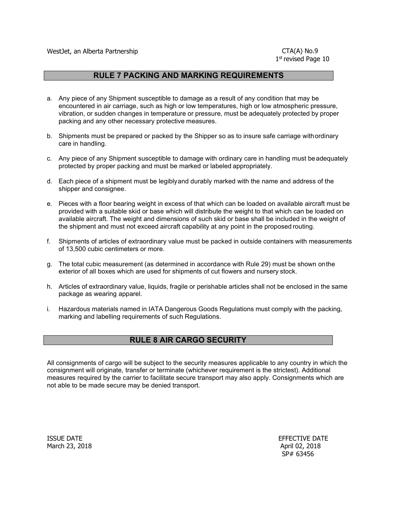## **RULE 7 PACKING AND MARKING REQUIREMENTS**

- a. Any piece of any Shipment susceptible to damage as a result of any condition that may be encountered in air carriage, such as high or low temperatures, high or low atmospheric pressure, vibration, or sudden changes in temperature or pressure, must be adequately protected by proper packing and any other necessary protective measures.
- b. Shipments must be prepared or packed by the Shipper so as to insure safe carriage withordinary care in handling.
- c. Any piece of any Shipment susceptible to damage with ordinary care in handling must beadequately protected by proper packing and must be marked or labeled appropriately.
- d. Each piece of a shipment must be legiblyand durably marked with the name and address of the shipper and consignee.
- e. Pieces with a floor bearing weight in excess of that which can be loaded on available aircraft must be provided with a suitable skid or base which will distribute the weight to that which can be loaded on available aircraft. The weight and dimensions of such skid or base shall be included in the weight of the shipment and must not exceed aircraft capability at any point in the proposed routing.
- f. Shipments of articles of extraordinary value must be packed in outside containers with measurements of 13,500 cubic centimeters or more.
- g. The total cubic measurement (as determined in accordance with Rule 29) must be shown onthe exterior of all boxes which are used for shipments of cut flowers and nursery stock.
- h. Articles of extraordinary value, liquids, fragile or perishable articles shall not be enclosed in the same package as wearing apparel.
- i. Hazardous materials named in IATA Dangerous Goods Regulations must comply with the packing, marking and labelling requirements of such Regulations.

#### **RULE 8 AIR CARGO SECURITY**

All consignments of cargo will be subject to the security measures applicable to any country in which the consignment will originate, transfer or terminate (whichever requirement is the strictest). Additional measures required by the carrier to facilitate secure transport may also apply. Consignments which are not able to be made secure may be denied transport.

March 23, 2018

ISSUE DATE<br>
March 23, 2018 SP# 63456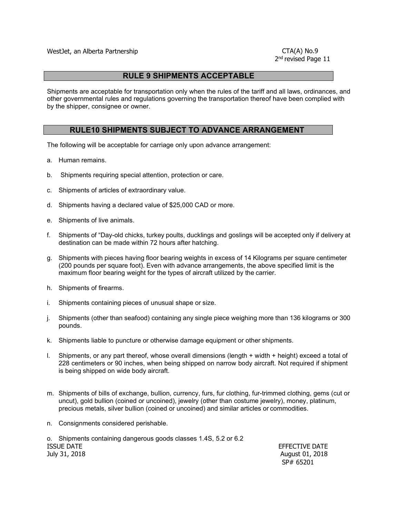# 2<sup>nd</sup> revised Page 11

## **RULE 9 SHIPMENTS ACCEPTABLE**

Shipments are acceptable for transportation only when the rules of the tariff and all laws, ordinances, and other governmental rules and regulations governing the transportation thereof have been complied with by the shipper, consignee or owner.

#### **RULE10 SHIPMENTS SUBJECT TO ADVANCE ARRANGEMENT**

The following will be acceptable for carriage only upon advance arrangement:

- a. Human remains.
- b. Shipments requiring special attention, protection or care.
- c. Shipments of articles of extraordinary value.
- d. Shipments having a declared value of \$25,000 CAD or more.
- e. Shipments of live animals.
- f. Shipments of "Day-old chicks, turkey poults, ducklings and goslings will be accepted only if delivery at destination can be made within 72 hours after hatching.
- g. Shipments with pieces having floor bearing weights in excess of 14 Kilograms per square centimeter (200 pounds per square foot). Even with advance arrangements, the above specified limit is the maximum floor bearing weight for the types of aircraft utilized by the carrier.
- h. Shipments of firearms.
- i. Shipments containing pieces of unusual shape or size.
- j. Shipments (other than seafood) containing any single piece weighing more than 136 kilograms or 300 pounds.
- k. Shipments liable to puncture or otherwise damage equipment or other shipments.
- l. Shipments, or any part thereof, whose overall dimensions (length + width + height) exceed a total of 228 centimeters or 90 inches, when being shipped on narrow body aircraft. Not required if shipment is being shipped on wide body aircraft.
- m. Shipments of bills of exchange, bullion, currency, furs, fur clothing, fur-trimmed clothing, gems (cut or uncut), gold bullion (coined or uncoined), jewelry (other than costume jewelry), money, platinum, precious metals, silver bullion (coined or uncoined) and similar articles or commodities.
- n. Consignments considered perishable.

o. Shipments containing dangerous goods classes 1.4S, 5.2 or 6.2 **ISSUE DATE** EFFECTIVE DATE July 31, 2018 August 01, 2018

SP# 65201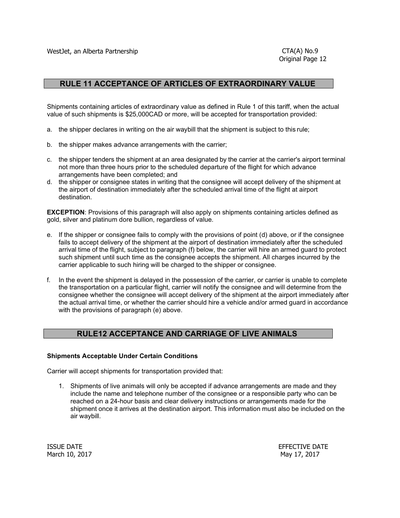# **RULE 11 ACCEPTANCE OF ARTICLES OF EXTRAORDINARY VALUE**

Shipments containing articles of extraordinary value as defined in Rule 1 of this tariff, when the actual value of such shipments is \$25,000CAD or more, will be accepted for transportation provided:

- a. the shipper declares in writing on the air waybill that the shipment is subject to this rule;
- b. the shipper makes advance arrangements with the carrier;
- c. the shipper tenders the shipment at an area designated by the carrier at the carrier's airport terminal not more than three hours prior to the scheduled departure of the flight for which advance arrangements have been completed; and
- d. the shipper or consignee states in writing that the consignee will accept delivery of the shipment at the airport of destination immediately after the scheduled arrival time of the flight at airport destination.

**EXCEPTION**: Provisions of this paragraph will also apply on shipments containing articles defined as gold, silver and platinum dore bullion, regardless of value.

- e. If the shipper or consignee fails to comply with the provisions of point (d) above, or if the consignee fails to accept delivery of the shipment at the airport of destination immediately after the scheduled arrival time of the flight, subject to paragraph (f) below, the carrier will hire an armed guard to protect such shipment until such time as the consignee accepts the shipment. All charges incurred by the carrier applicable to such hiring will be charged to the shipper or consignee.
- f. In the event the shipment is delayed in the possession of the carrier, or carrier is unable to complete the transportation on a particular flight, carrier will notify the consignee and will determine from the consignee whether the consignee will accept delivery of the shipment at the airport immediately after the actual arrival time, or whether the carrier should hire a vehicle and/or armed guard in accordance with the provisions of paragraph (e) above.

## **RULE12 ACCEPTANCE AND CARRIAGE OF LIVE ANIMALS**

#### **Shipments Acceptable Under Certain Conditions**

Carrier will accept shipments for transportation provided that:

1. Shipments of live animals will only be accepted if advance arrangements are made and they include the name and telephone number of the consignee or a responsible party who can be reached on a 24-hour basis and clear delivery instructions or arrangements made for the shipment once it arrives at the destination airport. This information must also be included on the air waybill.

March 10, 2017

ISSUE DATE<br>
March 10, 2017<br>
March 10, 2017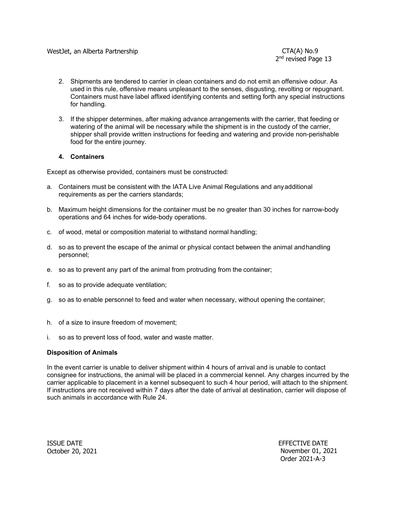- 2. Shipments are tendered to carrier in clean containers and do not emit an offensive odour. As used in this rule, offensive means unpleasant to the senses, disgusting, revolting or repugnant. Containers must have label affixed identifying contents and setting forth any special instructions for handling.
- 3. If the shipper determines, after making advance arrangements with the carrier, that feeding or watering of the animal will be necessary while the shipment is in the custody of the carrier, shipper shall provide written instructions for feeding and watering and provide non-perishable food for the entire journey.

#### **4. Containers**

Except as otherwise provided, containers must be constructed:

- a. Containers must be consistent with the IATA Live Animal Regulations and anyadditional requirements as per the carriers standards;
- b. Maximum height dimensions for the container must be no greater than 30 inches for narrow-body operations and 64 inches for wide-body operations.
- c. of wood, metal or composition material to withstand normal handling;
- d. so as to prevent the escape of the animal or physical contact between the animal andhandling personnel;
- e. so as to prevent any part of the animal from protruding from the container;
- f. so as to provide adequate ventilation;
- g. so as to enable personnel to feed and water when necessary, without opening the container;
- h. of a size to insure freedom of movement;
- i. so as to prevent loss of food, water and waste matter.

#### **Disposition of Animals**

In the event carrier is unable to deliver shipment within 4 hours of arrival and is unable to contact consignee for instructions, the animal will be placed in a commercial kennel. Any charges incurred by the carrier applicable to placement in a kennel subsequent to such 4 hour period, will attach to the shipment. If instructions are not received within 7 days after the date of arrival at destination, carrier will dispose of such animals in accordance with Rule 24.

ISSUE DATE October 20, 2021 EFFECTIVE DATE November 01, 2021 Order 2021-A-3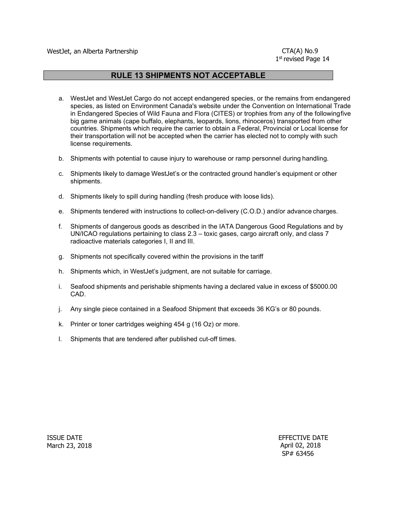# 1st revised Page 14

## **RULE 13 SHIPMENTS NOT ACCEPTABLE**

- a. WestJet and WestJet Cargo do not accept endangered species, or the remains from endangered species, as listed on Environment Canada's website under the Convention on International Trade in Endangered Species of Wild Fauna and Flora (CITES) or trophies from any of the followingfive big game animals (cape buffalo, elephants, leopards, lions, rhinoceros) transported from other countries. Shipments which require the carrier to obtain a Federal, Provincial or Local license for their transportation will not be accepted when the carrier has elected not to comply with such license requirements.
- b. Shipments with potential to cause injury to warehouse or ramp personnel during handling.
- c. Shipments likely to damage WestJet's or the contracted ground handler's equipment or other shipments.
- d. Shipments likely to spill during handling (fresh produce with loose lids).
- e. Shipments tendered with instructions to collect-on-delivery (C.O.D.) and/or advance charges.
- f. Shipments of dangerous goods as described in the IATA Dangerous Good Regulations and by UN/ICAO regulations pertaining to class 2.3 – toxic gases, cargo aircraft only, and class 7 radioactive materials categories I, II and III.
- g. Shipments not specifically covered within the provisions in the tariff
- h. Shipments which, in WestJet's judgment, are not suitable for carriage.
- i. Seafood shipments and perishable shipments having a declared value in excess of \$5000.00 CAD.
- j. Any single piece contained in a Seafood Shipment that exceeds 36 KG's or 80 pounds.
- k. Printer or toner cartridges weighing 454 g (16 Oz) or more.
- l. Shipments that are tendered after published cut-off times.

ISSUE DATE March 23, 2018 EFFECTIVE DATE April 02, 2018 SP# 63456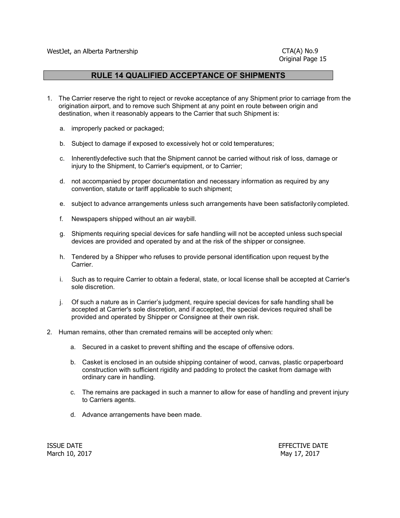# Original Page 15

## **RULE 14 QUALIFIED ACCEPTANCE OF SHIPMENTS**

- 1. The Carrier reserve the right to reject or revoke acceptance of any Shipment prior to carriage from the origination airport, and to remove such Shipment at any point en route between origin and destination, when it reasonably appears to the Carrier that such Shipment is:
	- a. improperly packed or packaged;
	- b. Subject to damage if exposed to excessively hot or cold temperatures;
	- c. Inherentlydefective such that the Shipment cannot be carried without risk of loss, damage or injury to the Shipment, to Carrier's equipment, or to Carrier;
	- d. not accompanied by proper documentation and necessary information as required by any convention, statute or tariff applicable to such shipment;
	- e. subject to advance arrangements unless such arrangements have been satisfactorily completed.
	- f. Newspapers shipped without an air waybill.
	- g. Shipments requiring special devices for safe handling will not be accepted unless suchspecial devices are provided and operated by and at the risk of the shipper or consignee.
	- h. Tendered by a Shipper who refuses to provide personal identification upon request bythe Carrier.
	- i. Such as to require Carrier to obtain a federal, state, or local license shall be accepted at Carrier's sole discretion.
	- j. Of such a nature as in Carrier's judgment, require special devices for safe handling shall be accepted at Carrier's sole discretion, and if accepted, the special devices required shall be provided and operated by Shipper or Consignee at their own risk.
- 2. Human remains, other than cremated remains will be accepted only when:
	- a. Secured in a casket to prevent shifting and the escape of offensive odors.
	- b. Casket is enclosed in an outside shipping container of wood, canvas, plastic orpaperboard construction with sufficient rigidity and padding to protect the casket from damage with ordinary care in handling.
	- c. The remains are packaged in such a manner to allow for ease of handling and prevent injury to Carriers agents.
	- d. Advance arrangements have been made.

ISSUE DATE March 10, 2017 EFFECTIVE DATE May 17, 2017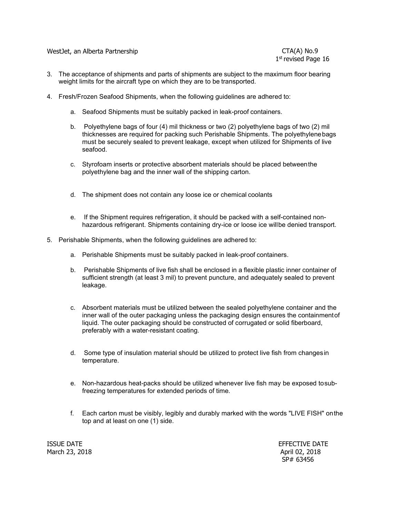1st revised Page 16

- 3. The acceptance of shipments and parts of shipments are subject to the maximum floor bearing weight limits for the aircraft type on which they are to be transported.
- 4. Fresh/Frozen Seafood Shipments, when the following guidelines are adhered to:
	- a. Seafood Shipments must be suitably packed in leak-proof containers.
	- b. Polyethylene bags of four (4) mil thickness or two (2) polyethylene bags of two (2) mil thicknesses are required for packing such Perishable Shipments. The polyethylenebags must be securely sealed to prevent leakage, except when utilized for Shipments of live seafood.
	- c. Styrofoam inserts or protective absorbent materials should be placed betweenthe polyethylene bag and the inner wall of the shipping carton.
	- d. The shipment does not contain any loose ice or chemical coolants
	- e. If the Shipment requires refrigeration, it should be packed with a self-contained nonhazardous refrigerant. Shipments containing dry-ice or loose ice willbe denied transport.
- 5. Perishable Shipments, when the following guidelines are adhered to:
	- a. Perishable Shipments must be suitably packed in leak-proof containers.
	- b. Perishable Shipments of live fish shall be enclosed in a flexible plastic inner container of sufficient strength (at least 3 mil) to prevent puncture, and adequately sealed to prevent leakage.
	- c. Absorbent materials must be utilized between the sealed polyethylene container and the inner wall of the outer packaging unless the packaging design ensures the containmentof liquid. The outer packaging should be constructed of corrugated or solid fiberboard, preferably with a water-resistant coating.
	- d. Some type of insulation material should be utilized to protect live fish from changesin temperature.
	- e. Non-hazardous heat-packs should be utilized whenever live fish may be exposed tosubfreezing temperatures for extended periods of time.
	- f. Each carton must be visibly, legibly and durably marked with the words "LIVE FISH" onthe top and at least on one (1) side.

ISSUE DATE March 23, 2018 EFFECTIVE DATE April 02, 2018 SP# 63456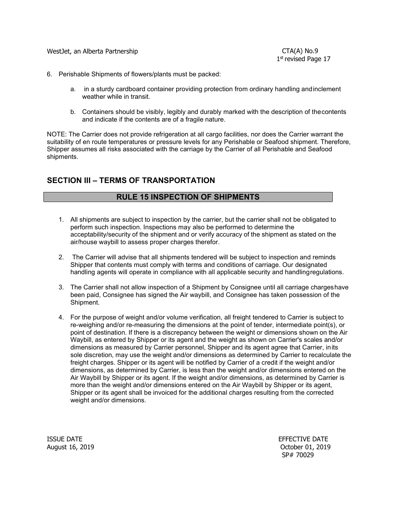1st revised Page 17

- 6. Perishable Shipments of flowers/plants must be packed:
	- a. in a sturdy cardboard container providing protection from ordinary handling andinclement weather while in transit.
	- b. Containers should be visibly, legibly and durably marked with the description of thecontents and indicate if the contents are of a fragile nature.

NOTE: The Carrier does not provide refrigeration at all cargo facilities, nor does the Carrier warrant the suitability of en route temperatures or pressure levels for any Perishable or Seafood shipment. Therefore, Shipper assumes all risks associated with the carriage by the Carrier of all Perishable and Seafood shipments.

## **SECTION III – TERMS OF TRANSPORTATION**

### **RULE 15 INSPECTION OF SHIPMENTS**

- 1. All shipments are subject to inspection by the carrier, but the carrier shall not be obligated to perform such inspection. Inspections may also be performed to determine the acceptability/security of the shipment and or verify accuracy of the shipment as stated on the air/house waybill to assess proper charges therefor.
- 2. The Carrier will advise that all shipments tendered will be subject to inspection and reminds Shipper that contents must comply with terms and conditions of carriage. Our designated handling agents will operate in compliance with all applicable security and handlingregulations.
- 3. The Carrier shall not allow inspection of a Shipment by Consignee until all carriage chargeshave been paid, Consignee has signed the Air waybill, and Consignee has taken possession of the Shipment.
- 4. For the purpose of weight and/or volume verification, all freight tendered to Carrier is subject to re-weighing and/or re-measuring the dimensions at the point of tender, intermediate point(s), or point of destination. If there is a discrepancy between the weight or dimensions shown on the Air Waybill, as entered by Shipper or its agent and the weight as shown on Carrier's scales and/or dimensions as measured by Carrier personnel, Shipper and its agent agree that Carrier, inits sole discretion, may use the weight and/or dimensions as determined by Carrier to recalculate the freight charges. Shipper or its agent will be notified by Carrier of a credit if the weight and/or dimensions, as determined by Carrier, is less than the weight and/or dimensions entered on the Air Waybill by Shipper or its agent. If the weight and/or dimensions, as determined by Carrier is more than the weight and/or dimensions entered on the Air Waybill by Shipper or its agent, Shipper or its agent shall be invoiced for the additional charges resulting from the corrected weight and/or dimensions.

ISSUE DATE August 16, 2019 EFFECTIVE DATE October 01, 2019 SP# 70029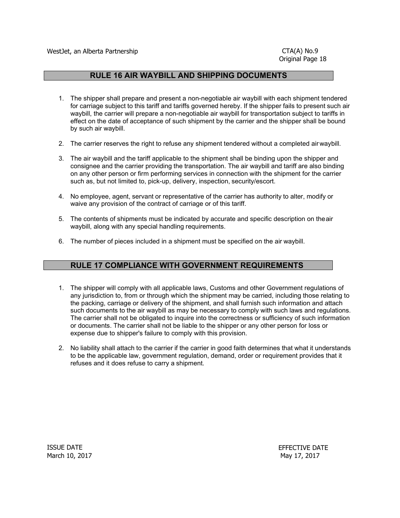## **RULE 16 AIR WAYBILL AND SHIPPING DOCUMENTS**

- 1. The shipper shall prepare and present a non-negotiable air waybill with each shipment tendered for carriage subject to this tariff and tariffs governed hereby. If the shipper fails to present such air waybill, the carrier will prepare a non-negotiable air waybill for transportation subject to tariffs in effect on the date of acceptance of such shipment by the carrier and the shipper shall be bound by such air waybill.
- 2. The carrier reserves the right to refuse any shipment tendered without a completed air waybill.
- 3. The air waybill and the tariff applicable to the shipment shall be binding upon the shipper and consignee and the carrier providing the transportation. The air waybill and tariff are also binding on any other person or firm performing services in connection with the shipment for the carrier such as, but not limited to, pick-up, delivery, inspection, security/escort.
- 4. No employee, agent, servant or representative of the carrier has authority to alter, modify or waive any provision of the contract of carriage or of this tariff.
- 5. The contents of shipments must be indicated by accurate and specific description on theair waybill, along with any special handling requirements.
- 6. The number of pieces included in a shipment must be specified on the air waybill.

#### **RULE 17 COMPLIANCE WITH GOVERNMENT REQUIREMENTS**

- 1. The shipper will comply with all applicable laws, Customs and other Government regulations of any jurisdiction to, from or through which the shipment may be carried, including those relating to the packing, carriage or delivery of the shipment, and shall furnish such information and attach such documents to the air waybill as may be necessary to comply with such laws and regulations. The carrier shall not be obligated to inquire into the correctness or sufficiency of such information or documents. The carrier shall not be liable to the shipper or any other person for loss or expense due to shipper's failure to comply with this provision.
- 2. No liability shall attach to the carrier if the carrier in good faith determines that what it understands to be the applicable law, government regulation, demand, order or requirement provides that it refuses and it does refuse to carry a shipment.

ISSUE DATE March 10, 2017 EFFECTIVE DATE May 17, 2017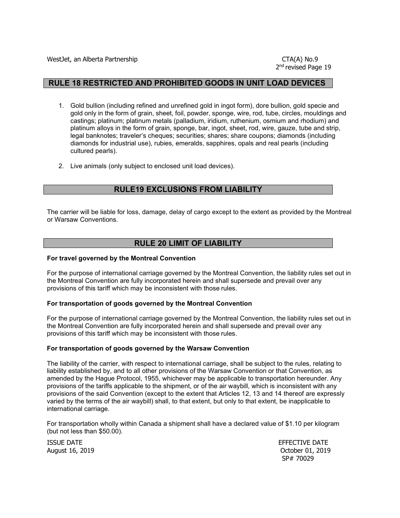## **RULE 18 RESTRICTED AND PROHIBITED GOODS IN UNIT LOAD DEVICES**

- 1. Gold bullion (including refined and unrefined gold in ingot form), dore bullion, gold specie and gold only in the form of grain, sheet, foil, powder, sponge, wire, rod, tube, circles, mouldings and castings; platinum; platinum metals (palladium, iridium, ruthenium, osmium and rhodium) and platinum alloys in the form of grain, sponge, bar, ingot, sheet, rod, wire, gauze, tube and strip, legal banknotes; traveler's cheques; securities; shares; share coupons; diamonds (including diamonds for industrial use), rubies, emeralds, sapphires, opals and real pearls (including cultured pearls).
- 2. Live animals (only subject to enclosed unit load devices).

#### **RULE19 EXCLUSIONS FROM LIABILITY**

The carrier will be liable for loss, damage, delay of cargo except to the extent as provided by the Montreal or Warsaw Conventions.

### **RULE 20 LIMIT OF LIABILITY**

#### **For travel governed by the Montreal Convention**

For the purpose of international carriage governed by the Montreal Convention, the liability rules set out in the Montreal Convention are fully incorporated herein and shall supersede and prevail over any provisions of this tariff which may be inconsistent with those rules.

#### **For transportation of goods governed by the Montreal Convention**

For the purpose of international carriage governed by the Montreal Convention, the liability rules set out in the Montreal Convention are fully incorporated herein and shall supersede and prevail over any provisions of this tariff which may be inconsistent with those rules.

#### **For transportation of goods governed by the Warsaw Convention**

The liability of the carrier, with respect to international carriage, shall be subject to the rules, relating to liability established by, and to all other provisions of the Warsaw Convention or that Convention, as amended by the Hague Protocol, 1955, whichever may be applicable to transportation hereunder. Any provisions of the tariffs applicable to the shipment, or of the air waybill, which is inconsistent with any provisions of the said Convention (except to the extent that Articles 12, 13 and 14 thereof are expressly varied by the terms of the air waybill) shall, to that extent, but only to that extent, be inapplicable to international carriage.

For transportation wholly within Canada a shipment shall have a declared value of \$1.10 per kilogram (but not less than \$50.00).

ISSUE DATE August 16, 2019 EFFECTIVE DATE October 01, 2019 SP# 70029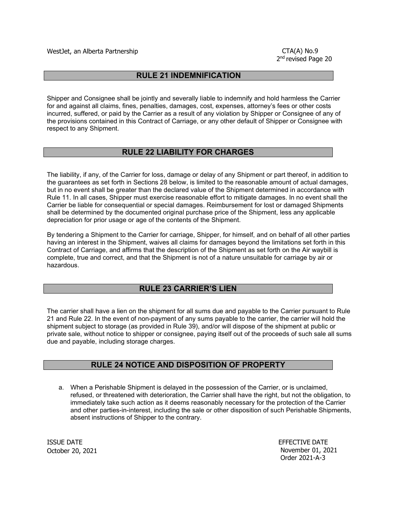# 2<sup>nd</sup> revised Page 20

## **RULE 21 INDEMNIFICATION**

Shipper and Consignee shall be jointly and severally liable to indemnify and hold harmless the Carrier for and against all claims, fines, penalties, damages, cost, expenses, attorney's fees or other costs incurred, suffered, or paid by the Carrier as a result of any violation by Shipper or Consignee of any of the provisions contained in this Contract of Carriage, or any other default of Shipper or Consignee with respect to any Shipment.

### **RULE 22 LIABILITY FOR CHARGES**

The liability, if any, of the Carrier for loss, damage or delay of any Shipment or part thereof, in addition to the guarantees as set forth in Sections 28 below, is limited to the reasonable amount of actual damages, but in no event shall be greater than the declared value of the Shipment determined in accordance with Rule 11. In all cases, Shipper must exercise reasonable effort to mitigate damages. In no event shall the Carrier be liable for consequential or special damages. Reimbursement for lost or damaged Shipments shall be determined by the documented original purchase price of the Shipment, less any applicable depreciation for prior usage or age of the contents of the Shipment.

By tendering a Shipment to the Carrier for carriage, Shipper, for himself, and on behalf of all other parties having an interest in the Shipment, waives all claims for damages beyond the limitations set forth in this Contract of Carriage, and affirms that the description of the Shipment as set forth on the Air waybill is complete, true and correct, and that the Shipment is not of a nature unsuitable for carriage by air or hazardous.

### **RULE 23 CARRIER'S LIEN**

The carrier shall have a lien on the shipment for all sums due and payable to the Carrier pursuant to Rule 21 and Rule 22. In the event of non-payment of any sums payable to the carrier, the carrier will hold the shipment subject to storage (as provided in Rule 39), and/or will dispose of the shipment at public or private sale, without notice to shipper or consignee, paying itself out of the proceeds of such sale all sums due and payable, including storage charges.

#### **RULE 24 NOTICE AND DISPOSITION OF PROPERTY**

a. When a Perishable Shipment is delayed in the possession of the Carrier, or is unclaimed, refused, or threatened with deterioration, the Carrier shall have the right, but not the obligation, to immediately take such action as it deems reasonably necessary for the protection of the Carrier and other parties-in-interest, including the sale or other disposition of such Perishable Shipments, absent instructions of Shipper to the contrary.

ISSUE DATE October 20, 2021 EFFECTIVE DATE November 01, 2021 Order 2021-A-3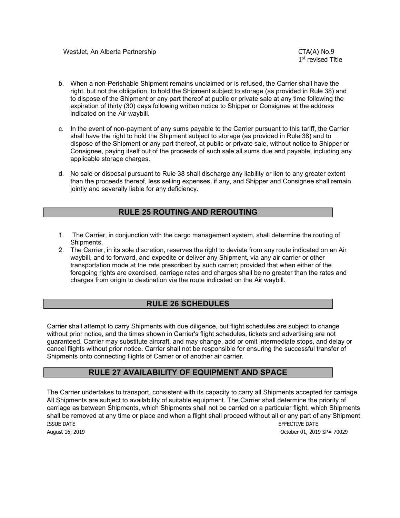- b. When a non-Perishable Shipment remains unclaimed or is refused, the Carrier shall have the right, but not the obligation, to hold the Shipment subject to storage (as provided in Rule 38) and to dispose of the Shipment or any part thereof at public or private sale at any time following the expiration of thirty (30) days following written notice to Shipper or Consignee at the address indicated on the Air waybill.
- c. In the event of non-payment of any sums payable to the Carrier pursuant to this tariff, the Carrier shall have the right to hold the Shipment subject to storage (as provided in Rule 38) and to dispose of the Shipment or any part thereof, at public or private sale, without notice to Shipper or Consignee, paying itself out of the proceeds of such sale all sums due and payable, including any applicable storage charges.
- d. No sale or disposal pursuant to Rule 38 shall discharge any liability or lien to any greater extent than the proceeds thereof, less selling expenses, if any, and Shipper and Consignee shall remain jointly and severally liable for any deficiency.

## **RULE 25 ROUTING AND REROUTING**

- 1. The Carrier, in conjunction with the cargo management system, shall determine the routing of Shipments.
- 2. The Carrier, in its sole discretion, reserves the right to deviate from any route indicated on an Air waybill, and to forward, and expedite or deliver any Shipment, via any air carrier or other transportation mode at the rate prescribed by such carrier; provided that when either of the foregoing rights are exercised, carriage rates and charges shall be no greater than the rates and charges from origin to destination via the route indicated on the Air waybill.

# **RULE 26 SCHEDULES**

Carrier shall attempt to carry Shipments with due diligence, but flight schedules are subject to change without prior notice, and the times shown in Carrier's flight schedules, tickets and advertising are not guaranteed. Carrier may substitute aircraft, and may change, add or omit intermediate stops, and delay or cancel flights without prior notice. Carrier shall not be responsible for ensuring the successful transfer of Shipments onto connecting flights of Carrier or of another air carrier.

## **RULE 27 AVAILABILITY OF EQUIPMENT AND SPACE**

The Carrier undertakes to transport, consistent with its capacity to carry all Shipments accepted for carriage. All Shipments are subject to availability of suitable equipment. The Carrier shall determine the priority of carriage as between Shipments, which Shipments shall not be carried on a particular flight, which Shipments shall be removed at any time or place and when a flight shall proceed without all or any part of any Shipment. ISSUE DATE EFFECTIVE DATE AND INTERFECTIVE DATE AND INTERFECTIVE DATE. August 16, 2019 October 01, 2019 SP# 70029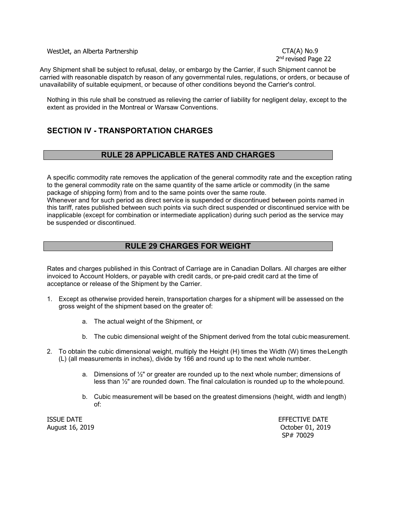# 2<sup>nd</sup> revised Page 22

Any Shipment shall be subject to refusal, delay, or embargo by the Carrier, if such Shipment cannot be carried with reasonable dispatch by reason of any governmental rules, regulations, or orders, or because of unavailability of suitable equipment, or because of other conditions beyond the Carrier's control.

Nothing in this rule shall be construed as relieving the carrier of liability for negligent delay, except to the extent as provided in the Montreal or Warsaw Conventions.

# **SECTION IV - TRANSPORTATION CHARGES**

## **RULE 28 APPLICABLE RATES AND CHARGES**

A specific commodity rate removes the application of the general commodity rate and the exception rating to the general commodity rate on the same quantity of the same article or commodity (in the same package of shipping form) from and to the same points over the same route.

Whenever and for such period as direct service is suspended or discontinued between points named in this tariff, rates published between such points via such direct suspended or discontinued service with be inapplicable (except for combination or intermediate application) during such period as the service may be suspended or discontinued.

## **RULE 29 CHARGES FOR WEIGHT**

Rates and charges published in this Contract of Carriage are in Canadian Dollars. All charges are either invoiced to Account Holders, or payable with credit cards, or pre-paid credit card at the time of acceptance or release of the Shipment by the Carrier.

- 1. Except as otherwise provided herein, transportation charges for a shipment will be assessed on the gross weight of the shipment based on the greater of:
	- a. The actual weight of the Shipment, or
	- b. The cubic dimensional weight of the Shipment derived from the total cubic measurement.
- 2. To obtain the cubic dimensional weight, multiply the Height (H) times the Width (W) times theLength (L) (all measurements in inches), divide by 166 and round up to the next whole number.
	- a. Dimensions of  $\frac{1}{2}$ " or greater are rounded up to the next whole number; dimensions of less than  $\frac{1}{2}$ " are rounded down. The final calculation is rounded up to the whole pound.
	- b. Cubic measurement will be based on the greatest dimensions (height, width and length) of:

ISSUE DATE EFFECTIVE DATE AND INTERFECTIVE DATE OF THE SERIES OF THE SERIES OF THE SERIES OF THE SERIES OF THE August 16, 2019 October 01, 2019 SP# 70029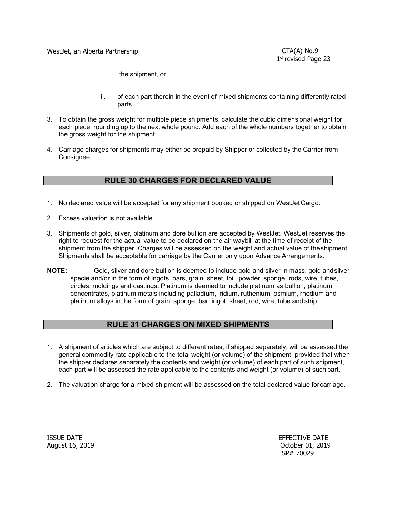- i. the shipment, or
- ii. of each part therein in the event of mixed shipments containing differently rated parts.
- 3. To obtain the gross weight for multiple piece shipments, calculate the cubic dimensional weight for each piece, rounding up to the next whole pound. Add each of the whole numbers together to obtain the gross weight for the shipment.
- 4. Carriage charges for shipments may either be prepaid by Shipper or collected by the Carrier from Consignee.

## **RULE 30 CHARGES FOR DECLARED VALUE**

- 1. No declared value will be accepted for any shipment booked or shipped on WestJet Cargo.
- 2. Excess valuation is not available.
- 3. Shipments of gold, silver, platinum and dore bullion are accepted by WestJet. WestJet reserves the right to request for the actual value to be declared on the air waybill at the time of receipt of the shipment from the shipper. Charges will be assessed on the weight and actual value of theshipment. Shipments shall be acceptable for carriage by the Carrier only upon Advance Arrangements.
- **NOTE:** Gold, silver and dore bullion is deemed to include gold and silver in mass, gold andsilver specie and/or in the form of ingots, bars, grain, sheet, foil, powder, sponge, rods, wire, tubes, circles, moldings and castings. Platinum is deemed to include platinum as bullion, platinum concentrates, platinum metals including palladium, iridium, ruthenium, osmium, rhodium and platinum alloys in the form of grain, sponge, bar, ingot, sheet, rod, wire, tube and strip.

#### **RULE 31 CHARGES ON MIXED SHIPMENTS**

- 1. A shipment of articles which are subject to different rates, if shipped separately, will be assessed the general commodity rate applicable to the total weight (or volume) of the shipment, provided that when the shipper declares separately the contents and weight (or volume) of each part of such shipment, each part will be assessed the rate applicable to the contents and weight (or volume) of such part.
- 2. The valuation charge for a mixed shipment will be assessed on the total declared value for carriage.

ISSUE DATE EFFECTIVE DATE October 01, 2019 SP# 70029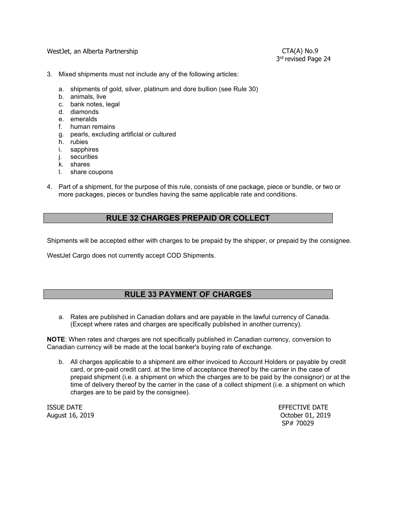# 3rd revised Page 24

- 3. Mixed shipments must not include any of the following articles:
	- a. shipments of gold, silver, platinum and dore bullion (see Rule 30)
	- b. animals, live
	- c. bank notes, legal
	- d. diamonds
	- e. emeralds
	- f. human remains
	- g. pearls, excluding artificial or cultured
	- h. rubies
	- i. sapphires
	- j. securities
	- k. shares
	- l. share coupons
- 4. Part of a shipment, for the purpose of this rule, consists of one package, piece or bundle, or two or more packages, pieces or bundles having the same applicable rate and conditions.

### **RULE 32 CHARGES PREPAID OR COLLECT**

Shipments will be accepted either with charges to be prepaid by the shipper, or prepaid by the consignee.

WestJet Cargo does not currently accept COD Shipments.

## **RULE 33 PAYMENT OF CHARGES**

a. Rates are published in Canadian dollars and are payable in the lawful currency of Canada. (Except where rates and charges are specifically published in another currency).

**NOTE**: When rates and charges are not specifically published in Canadian currency, conversion to Canadian currency will be made at the local banker's buying rate of exchange.

b. All charges applicable to a shipment are either invoiced to Account Holders or payable by credit card, or pre-paid credit card. at the time of acceptance thereof by the carrier in the case of prepaid shipment (i.e. a shipment on which the charges are to be paid by the consignor) or at the time of delivery thereof by the carrier in the case of a collect shipment (i.e. a shipment on which charges are to be paid by the consignee).

ISSUE DATE EFFECTIVE DATE October 01, 2019 SP# 70029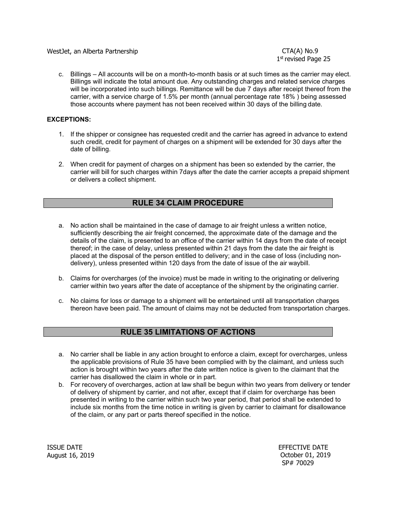# 1st revised Page 25

c. Billings – All accounts will be on a month-to-month basis or at such times as the carrier may elect. Billings will indicate the total amount due. Any outstanding charges and related service charges will be incorporated into such billings. Remittance will be due 7 days after receipt thereof from the carrier, with a service charge of 1.5% per month (annual percentage rate 18% ) being assessed those accounts where payment has not been received within 30 days of the billing date.

#### **EXCEPTIONS:**

- 1. If the shipper or consignee has requested credit and the carrier has agreed in advance to extend such credit, credit for payment of charges on a shipment will be extended for 30 days after the date of billing.
- 2. When credit for payment of charges on a shipment has been so extended by the carrier, the carrier will bill for such charges within 7days after the date the carrier accepts a prepaid shipment or delivers a collect shipment.

## **RULE 34 CLAIM PROCEDURE**

- a. No action shall be maintained in the case of damage to air freight unless a written notice, sufficiently describing the air freight concerned, the approximate date of the damage and the details of the claim, is presented to an office of the carrier within 14 days from the date of receipt thereof; in the case of delay, unless presented within 21 days from the date the air freight is placed at the disposal of the person entitled to delivery; and in the case of loss (including nondelivery), unless presented within 120 days from the date of issue of the air waybill.
- b. Claims for overcharges (of the invoice) must be made in writing to the originating or delivering carrier within two years after the date of acceptance of the shipment by the originating carrier.
- c. No claims for loss or damage to a shipment will be entertained until all transportation charges thereon have been paid. The amount of claims may not be deducted from transportation charges.

## **RULE 35 LIMITATIONS OF ACTIONS**

- a. No carrier shall be liable in any action brought to enforce a claim, except for overcharges, unless the applicable provisions of Rule 35 have been complied with by the claimant, and unless such action is brought within two years after the date written notice is given to the claimant that the carrier has disallowed the claim in whole or in part.
- b. For recovery of overcharges, action at law shall be begun within two years from delivery or tender of delivery of shipment by carrier, and not after, except that if claim for overcharge has been presented in writing to the carrier within such two year period, that period shall be extended to include six months from the time notice in writing is given by carrier to claimant for disallowance of the claim, or any part or parts thereof specified in the notice.

ISSUE DATE August 16, 2019 EFFECTIVE DATE October 01, 2019 SP# 70029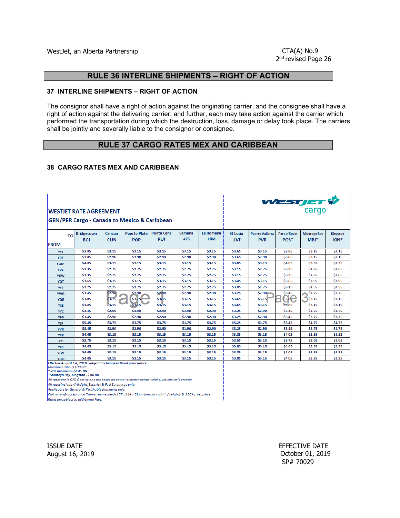## **RULE 36 INTERLINE SHIPMENTS – RIGHT OF ACTION**

#### **37 INTERLINE SHIPMENTS – RIGHT OF ACTION**

The consignor shall have a right of action against the originating carrier, and the consignee shall have a right of action against the delivering carrier, and further, each may take action against the carrier which performed the transportation during which the destruction, loss, damage or delay took place. The carriers shall be jointly and severally liable to the consignor or consignee.

#### **RULE 37 CARGO RATES MEX AND CARIBBEAN**

#### **38 CARGO RATES MEX AND CARIBBEAN**

| <b>WESTJET RATE AGREEMENT</b><br><b>GEN/PER Cargo - Canada to Mexico &amp; Caribbean</b>         |                   |            |                     |                   |            | WESTJET Ÿ<br>cargo |                 |                        |                      |                    |                 |
|--------------------------------------------------------------------------------------------------|-------------------|------------|---------------------|-------------------|------------|--------------------|-----------------|------------------------|----------------------|--------------------|-----------------|
| T <sub>O</sub>                                                                                   | <b>Bridgetown</b> | Cancun     | <b>Puerto Plata</b> | <b>Punta Cana</b> | Samana     | La Romana          | <b>St Lucia</b> | <b>Puerto Vallarta</b> | <b>Port of Spain</b> | <b>Montego Bay</b> | <b>Kingston</b> |
|                                                                                                  | <b>BGI</b>        | <b>CUN</b> | <b>POP</b>          | <b>PUJ</b>        | <b>AZS</b> | <b>LRM</b>         | <b>UVF</b>      | <b>PVR</b>             | $POS*$               | $MBJ^*$            | $KIN^*$         |
| <b>IFROM</b>                                                                                     |                   |            |                     |                   |            |                    |                 |                        |                      |                    |                 |
| <b>YYT</b>                                                                                       | \$3.85            | \$3.15     | \$3.15              | \$3.15            | \$3.15     | \$3.15             | \$3.65          | \$3.15                 | \$3.85               | \$3.15             | \$3.15          |
| YHZ                                                                                              | \$3.85            | \$2.90     | \$2.90              | \$2.90            | \$2.90     | \$2.90             | \$3.65          | \$2.90                 | \$3.85               | \$3.15             | \$3.15          |
| YQM                                                                                              | \$4.05            | \$3.15     | \$3.15              | \$3.15            | \$3.15     | \$3.15             | \$3.85          | \$3.15                 | \$4.05               | \$3.35             | \$3.35          |
| <b>YUL</b>                                                                                       | \$3.35            | \$2.75     | \$2.75              | \$2.75            | \$2.75     | \$2.75             | \$3.15          | \$2.75                 | \$3.35               | \$2.65             | \$2.65          |
| <b>YOW</b>                                                                                       | \$3.35            | \$2.75     | \$2.75              | \$2.75            | \$2.75     | \$2.75             | \$3.15          | \$2.75                 | \$3.35               | \$2.65             | \$2.65          |
| YQT                                                                                              | \$3.65            | \$3.15     | \$3.15              | \$3.15            | \$3.15     | \$3.15             | \$3.45          | \$3.15                 | \$3.65               | \$2.95             | \$2.95          |
| <b>YYZ</b>                                                                                       | \$3.25            | \$2.75     | \$2.75              | \$2.75            | \$2.75     | \$2.75             | \$3.05          | \$2.75                 | \$3.25               | \$2.55             | \$2.55          |
| <b>YWG</b>                                                                                       | \$3.45            | \$2.90     | \$2.90              | \$2.90            | \$2.90     | \$2.90             | \$3.25          | $$2.90 -$              | \$3.45               | \$2.75             | \$2.75          |
| <b>YQR</b>                                                                                       | \$3.85            | \$3.15     | \$3.15              | \$3.15            | \$3.15     | \$3.15             | \$3.65          | \$3.15                 | \$3.85               | \$3.15             | \$3.15          |
| <b>YXE</b>                                                                                       | \$3.85            | \$3.15     | \$3.15              | \$3.15            | \$3.15     | \$3.15             | \$3.65          | \$3.15                 | \$3.85               | \$3.15             | \$3.15          |
| <b>YYC</b>                                                                                       | \$3.45            | \$2.90     | \$2.90              | \$2.90            | \$2.90     | \$2.90             | \$3.25          | \$2.90                 | \$3.45               | \$2.75             | \$2.75          |
| <b>YEG</b>                                                                                       | \$3.45            | \$2.90     | \$2.90              | \$2.90            | \$2.90     | \$2.90             | \$3.25          | \$2.90                 | \$3.45               | \$2.75             | \$2.75          |
| <b>YZF</b>                                                                                       | \$5.45            | \$3.75     | \$3.75              | \$3.75            | \$3.75     | \$3.75             | \$5.25          | \$3.75                 | \$5.45               | \$4.75             | \$4.75          |
| <b>YVR</b>                                                                                       | \$3.45            | \$2.90     | \$2.90              | \$2.90            | \$2.90     | \$2.90             | \$3.25          | \$2.90                 | \$3.45               | \$2.75             | \$2.75          |
| <b>YXX</b>                                                                                       | \$4.05            | \$3.15     | \$3.15              | \$3.15            | \$3.15     | \$3.15             | \$3.85          | \$3.15                 | \$4.05               | \$3.35             | \$3.35          |
| <b>YYJ</b>                                                                                       | \$3.75            | \$3.15     | \$3.15              | \$3.15            | \$3.15     | \$3.15             | \$3.55          | \$3.15                 | \$3.75               | \$3.05             | \$3.05          |
| <b>YXS</b>                                                                                       | \$4.05            | \$3.15     | \$3.15              | \$3.15            | \$3.15     | \$3.15             | \$3.85          | \$3.15                 | \$4.05               | \$3.35             | \$3,35          |
| <b>YLW</b>                                                                                       | \$4.05            | \$3.15     | \$3.15              | \$3.15            | \$3.15     | \$3.15             | \$3.85          | \$3.15                 | \$4.05               | \$3.35             | \$3.35          |
| YOO                                                                                              | \$4.05            | \$3.15     | \$3.15              | \$3.15            | \$3.15     | \$3.15             | \$3.85          | \$3.15                 | \$4.05               | \$3.35             | \$3.35          |
| Effective August 1st, 2018. Subject to change without prior notice.<br>Minimum rate - \$ 100.00. |                   |            |                     |                   |            |                    |                 |                        |                      |                    |                 |

Profilmation rate - 5 100:00<br>\* POS minimum - \$145.00<br>\*Montego Bay, Kingston - \$ 80.00

All rates are in CAD \$ per kg and are based on actual or dimensional weight, whichever is greater.

All rates include Airfreight, Security & Fuel Surcharge only.

Applicable for General & Perishable shipments only.

Call to verify acceptance if dimension exceeds 157 x 114 x 81 cm (length / width / height) & 136 kg per piece

Rates are subject to additional Fees.

ISSUE DATE August 16, 2019 EFFECTIVE DATE October 01, 2019 SP# 70029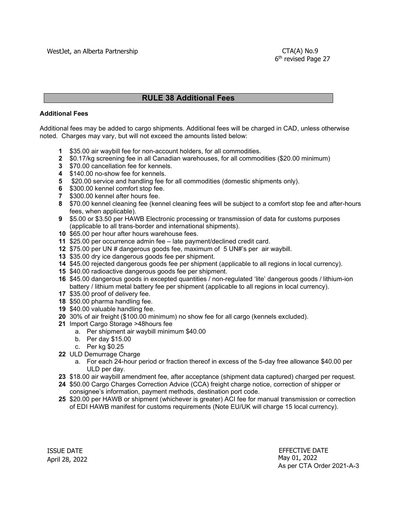## **RULE 38 Additional Fees**

#### **Additional Fees**

Additional fees may be added to cargo shipments. Additional fees will be charged in CAD, unless otherwise noted. Charges may vary, but will not exceed the amounts listed below:

- **1** \$35.00 air waybill fee for non-account holders, for all commodities.
- **2** \$0.17/kg screening fee in all Canadian warehouses, for all commodities (\$20.00 minimum)
- **3** \$70.00 cancellation fee for kennels.
- **4** \$140.00 no-show fee for kennels.
- **5** \$20.00 service and handling fee for all commodities (domestic shipments only).
- **6** \$300.00 kennel comfort stop fee.
- **7** \$300.00 kennel after hours fee.
- **8** \$70.00 kennel cleaning fee (kennel cleaning fees will be subject to a comfort stop fee and after-hours fees, when applicable).
- **9** \$5.00 or \$3.50 per HAWB Electronic processing or transmission of data for customs purposes (applicable to all trans-border and international shipments).
- **10** \$65.00 per hour after hours warehouse fees.
- **11** \$25.00 per occurrence admin fee late payment/declined credit card.
- **12** \$75.00 per UN # dangerous goods fee, maximum of 5 UN#'s per air waybill.
- **13** \$35.00 dry ice dangerous goods fee per shipment.
- **14** \$45.00 rejected dangerous goods fee per shipment (applicable to all regions in local currency).
- **15** \$40.00 radioactive dangerous goods fee per shipment.
- **16** \$45.00 dangerous goods in excepted quantities / non-regulated 'lite' dangerous goods / lithium-ion battery / lithium metal battery fee per shipment (applicable to all regions in local currency).
- **17** \$35.00 proof of delivery fee.
- **18** \$50.00 pharma handling fee.
- **19** \$40.00 valuable handling fee.
- **20** 30% of air freight (\$100.00 minimum) no show fee for all cargo (kennels excluded).
- **21** Import Cargo Storage >48hours fee
	- a. Per shipment air waybill minimum \$40.00
	- b. Per day \$15.00
	- c. Per kg \$0.25
- **22** ULD Demurrage Charge
	- a. For each 24-hour period or fraction thereof in excess of the 5-day free allowance \$40.00 per ULD per day.
- **23** \$18.00 air waybill amendment fee, after acceptance (shipment data captured) charged per request.
- **24** \$50.00 Cargo Charges Correction Advice (CCA) freight charge notice, correction of shipper or consignee's information, payment methods, destination port code.
- **25** \$20.00 per HAWB or shipment (whichever is greater) ACI fee for manual transmission or correction of EDI HAWB manifest for customs requirements (Note EU/UK will charge 15 local currency).

ISSUE DATE April 28, 2022

EFFECTIVE DATE May 01, 2022 As per CTA Order 2021-A-3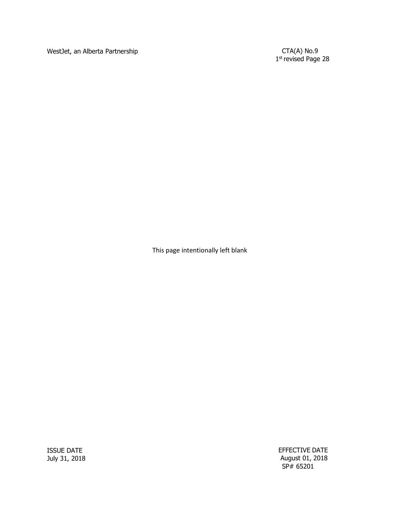WestJet, an Alberta Partnership

 $CTA(A)$  No.9<br> $1<sup>st</sup>$  revised Page 28

This page intentionally left blank

ISSUE DATE July 31, 2018 EFFECTIVE DATE August 01, 2018 SP# 65201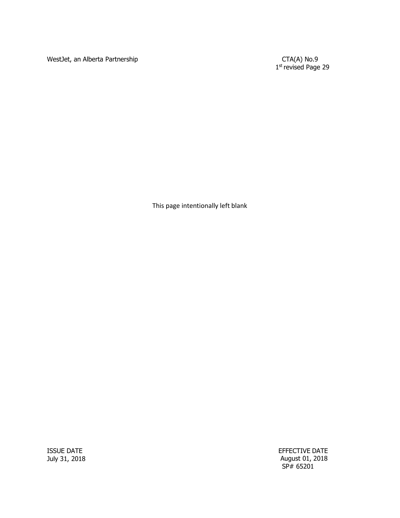1st revised Page 29

This page intentionally left blank

ISSUE DATE July 31, 2018 EFFECTIVE DATE August 01, 2018 SP# 65201